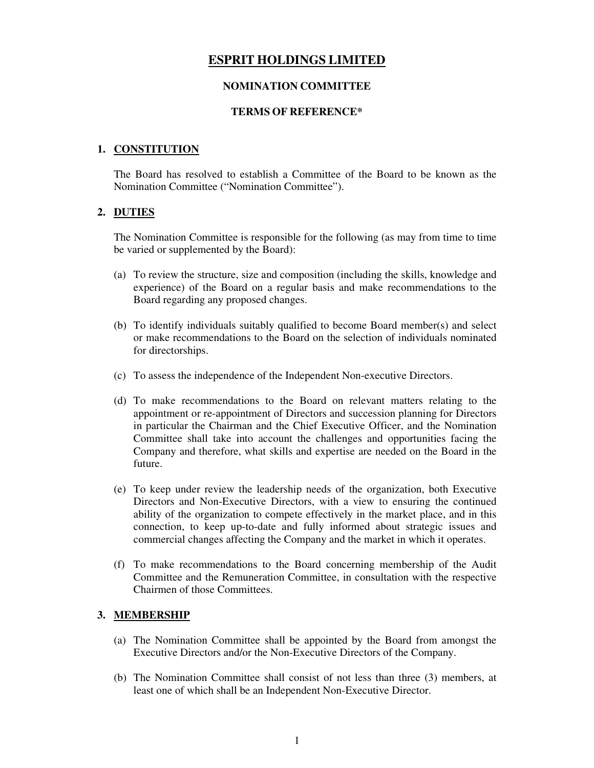# **ESPRIT HOLDINGS LIMITED**

# **NOMINATION COMMITTEE**

# **TERMS OF REFERENCE\***

# **1. CONSTITUTION**

The Board has resolved to establish a Committee of the Board to be known as the Nomination Committee ("Nomination Committee").

# **2. DUTIES**

The Nomination Committee is responsible for the following (as may from time to time be varied or supplemented by the Board):

- (a) To review the structure, size and composition (including the skills, knowledge and experience) of the Board on a regular basis and make recommendations to the Board regarding any proposed changes.
- (b) To identify individuals suitably qualified to become Board member(s) and select or make recommendations to the Board on the selection of individuals nominated for directorships.
- (c) To assess the independence of the Independent Non-executive Directors.
- (d) To make recommendations to the Board on relevant matters relating to the appointment or re-appointment of Directors and succession planning for Directors in particular the Chairman and the Chief Executive Officer, and the Nomination Committee shall take into account the challenges and opportunities facing the Company and therefore, what skills and expertise are needed on the Board in the future.
- (e) To keep under review the leadership needs of the organization, both Executive Directors and Non-Executive Directors, with a view to ensuring the continued ability of the organization to compete effectively in the market place, and in this connection, to keep up-to-date and fully informed about strategic issues and commercial changes affecting the Company and the market in which it operates.
- (f) To make recommendations to the Board concerning membership of the Audit Committee and the Remuneration Committee, in consultation with the respective Chairmen of those Committees.

# **3. MEMBERSHIP**

- (a) The Nomination Committee shall be appointed by the Board from amongst the Executive Directors and/or the Non-Executive Directors of the Company.
- (b) The Nomination Committee shall consist of not less than three (3) members, at least one of which shall be an Independent Non-Executive Director.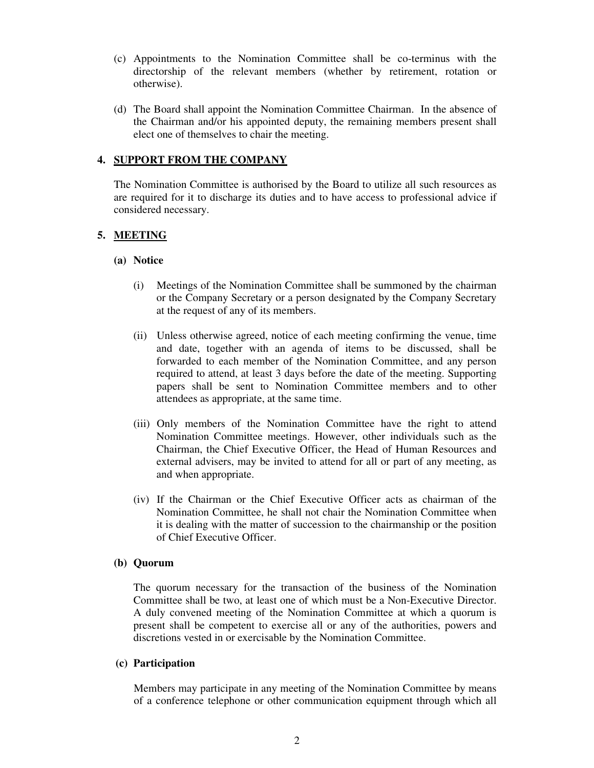- (c) Appointments to the Nomination Committee shall be co-terminus with the directorship of the relevant members (whether by retirement, rotation or otherwise).
- (d) The Board shall appoint the Nomination Committee Chairman. In the absence of the Chairman and/or his appointed deputy, the remaining members present shall elect one of themselves to chair the meeting.

# **4. SUPPORT FROM THE COMPANY**

The Nomination Committee is authorised by the Board to utilize all such resources as are required for it to discharge its duties and to have access to professional advice if considered necessary.

# **5. MEETING**

#### **(a) Notice**

- (i) Meetings of the Nomination Committee shall be summoned by the chairman or the Company Secretary or a person designated by the Company Secretary at the request of any of its members.
- (ii) Unless otherwise agreed, notice of each meeting confirming the venue, time and date, together with an agenda of items to be discussed, shall be forwarded to each member of the Nomination Committee, and any person required to attend, at least 3 days before the date of the meeting. Supporting papers shall be sent to Nomination Committee members and to other attendees as appropriate, at the same time.
- (iii) Only members of the Nomination Committee have the right to attend Nomination Committee meetings. However, other individuals such as the Chairman, the Chief Executive Officer, the Head of Human Resources and external advisers, may be invited to attend for all or part of any meeting, as and when appropriate.
- (iv) If the Chairman or the Chief Executive Officer acts as chairman of the Nomination Committee, he shall not chair the Nomination Committee when it is dealing with the matter of succession to the chairmanship or the position of Chief Executive Officer.

# **(b) Quorum**

The quorum necessary for the transaction of the business of the Nomination Committee shall be two, at least one of which must be a Non-Executive Director. A duly convened meeting of the Nomination Committee at which a quorum is present shall be competent to exercise all or any of the authorities, powers and discretions vested in or exercisable by the Nomination Committee.

#### **(c) Participation**

Members may participate in any meeting of the Nomination Committee by means of a conference telephone or other communication equipment through which all